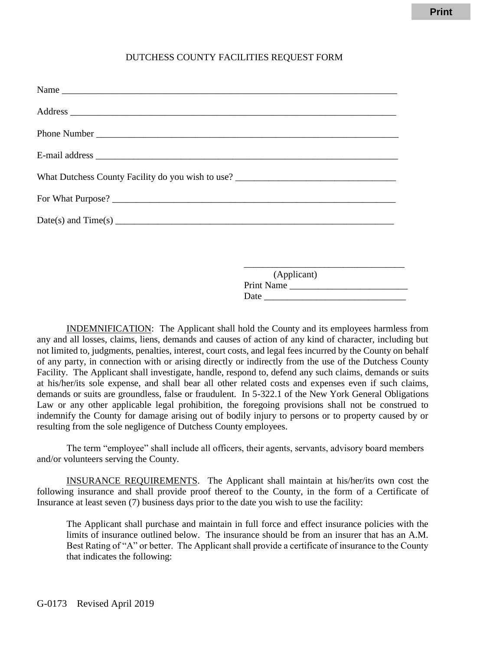## DUTCHESS COUNTY FACILITIES REQUEST FORM

| What Dutchess County Facility do you wish to use? |                           |
|---------------------------------------------------|---------------------------|
|                                                   |                           |
|                                                   |                           |
|                                                   |                           |
|                                                   |                           |
|                                                   |                           |
|                                                   | (Applicant)<br>Print Name |

INDEMNIFICATION: The Applicant shall hold the County and its employees harmless from any and all losses, claims, liens, demands and causes of action of any kind of character, including but not limited to, judgments, penalties, interest, court costs, and legal fees incurred by the County on behalf of any party, in connection with or arising directly or indirectly from the use of the Dutchess County Facility. The Applicant shall investigate, handle, respond to, defend any such claims, demands or suits at his/her/its sole expense, and shall bear all other related costs and expenses even if such claims, demands or suits are groundless, false or fraudulent. In 5-322.1 of the New York General Obligations Law or any other applicable legal prohibition, the foregoing provisions shall not be construed to indemnify the County for damage arising out of bodily injury to persons or to property caused by or resulting from the sole negligence of Dutchess County employees.

Date

The term "employee" shall include all officers, their agents, servants, advisory board members and/or volunteers serving the County.

INSURANCE REQUIREMENTS. The Applicant shall maintain at his/her/its own cost the following insurance and shall provide proof thereof to the County, in the form of a Certificate of Insurance at least seven (7) business days prior to the date you wish to use the facility:

The Applicant shall purchase and maintain in full force and effect insurance policies with the limits of insurance outlined below. The insurance should be from an insurer that has an A.M. Best Rating of "A" or better. The Applicant shall provide a certificate of insurance to the County that indicates the following: